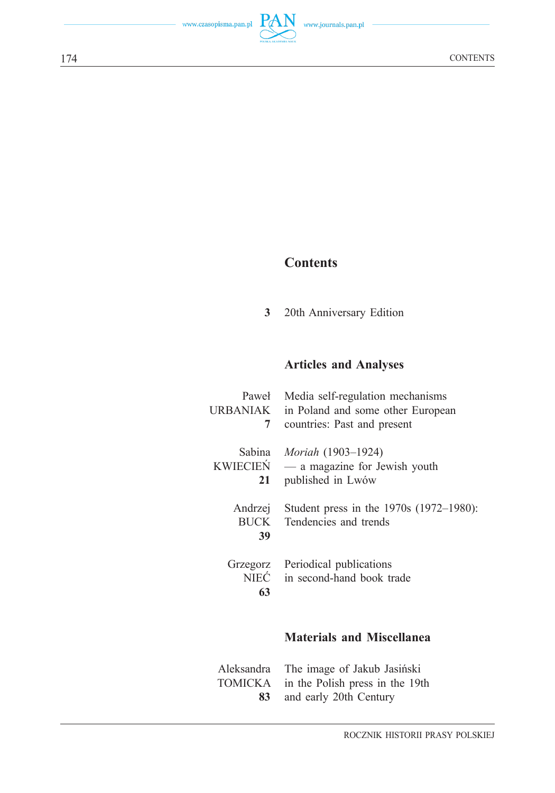## **Contents**

20th Anniversary Edition **3**

## **Articles and Analyses**

| Paweł                  | Media self-regulation mechanisms                                 |
|------------------------|------------------------------------------------------------------|
| URBANIAK               | in Poland and some other European                                |
| 7                      | countries: Past and present                                      |
| Sabina                 | <i>Moriah</i> (1903–1924)                                        |
| KWIECIEŃ               | — a magazine for Jewish youth                                    |
| 21                     | published in Lwów                                                |
| Andrzej<br>BUCK<br>39  | Student press in the 1970s (1972–1980):<br>Tendencies and trends |
| Grzegorz<br>NIEĆ<br>63 | Periodical publications<br>in second-hand book trade             |
|                        | <b>Materials and Miscellanea</b>                                 |
| Aleksandra             | The image of Jakub Jasiński                                      |
| TOMICKA                | in the Polish press in the 19th                                  |
| 83                     | and early 20th Century                                           |